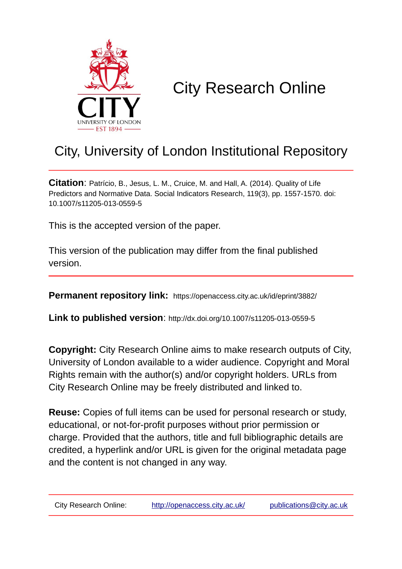

# City Research Online

## City, University of London Institutional Repository

**Citation**: Patrício, B., Jesus, L. M., Cruice, M. and Hall, A. (2014). Quality of Life Predictors and Normative Data. Social Indicators Research, 119(3), pp. 1557-1570. doi: 10.1007/s11205-013-0559-5

This is the accepted version of the paper.

This version of the publication may differ from the final published version.

**Permanent repository link:** https://openaccess.city.ac.uk/id/eprint/3882/

**Link to published version**: http://dx.doi.org/10.1007/s11205-013-0559-5

**Copyright:** City Research Online aims to make research outputs of City, University of London available to a wider audience. Copyright and Moral Rights remain with the author(s) and/or copyright holders. URLs from City Research Online may be freely distributed and linked to.

**Reuse:** Copies of full items can be used for personal research or study, educational, or not-for-profit purposes without prior permission or charge. Provided that the authors, title and full bibliographic details are credited, a hyperlink and/or URL is given for the original metadata page and the content is not changed in any way.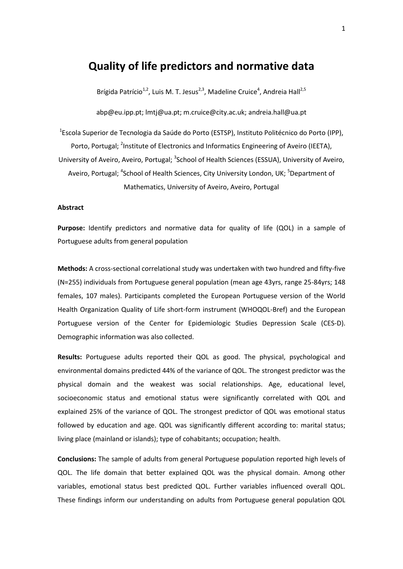### **Quality of life predictors and normative data**

Brígida Patrício<sup>1,2</sup>, Luis M. T. Jesus<sup>2,3</sup>, Madeline Cruice<sup>4</sup>, Andreia Hall<sup>2,5</sup>

abp@eu.ipp.pt; lmtj@ua.pt; m.cruice@city.ac.uk; andreia.hall@ua.pt

<sup>1</sup>Escola Superior de Tecnologia da Saúde do Porto (ESTSP), Instituto Politécnico do Porto (IPP), Porto, Portugal; <sup>2</sup>Institute of Electronics and Informatics Engineering of Aveiro (IEETA), University of Aveiro, Aveiro, Portugal; <sup>3</sup>School of Health Sciences (ESSUA), University of Aveiro, Aveiro, Portugal; <sup>4</sup>School of Health Sciences, City University London, UK; <sup>5</sup>Department of Mathematics, University of Aveiro, Aveiro, Portugal

#### **Abstract**

**Purpose:** Identify predictors and normative data for quality of life (QOL) in a sample of Portuguese adults from general population

**Methods:** A cross-sectional correlational study was undertaken with two hundred and fifty-five (N=255) individuals from Portuguese general population (mean age 43yrs, range 25-84yrs; 148 females, 107 males). Participants completed the European Portuguese version of the World Health Organization Quality of Life short-form instrument (WHOQOL-Bref) and the European Portuguese version of the Center for Epidemiologic Studies Depression Scale (CES-D). Demographic information was also collected.

**Results:** Portuguese adults reported their QOL as good. The physical, psychological and environmental domains predicted 44% of the variance of QOL. The strongest predictor was the physical domain and the weakest was social relationships. Age, educational level, socioeconomic status and emotional status were significantly correlated with QOL and explained 25% of the variance of QOL. The strongest predictor of QOL was emotional status followed by education and age. QOL was significantly different according to: marital status; living place (mainland or islands); type of cohabitants; occupation; health.

**Conclusions:** The sample of adults from general Portuguese population reported high levels of QOL. The life domain that better explained QOL was the physical domain. Among other variables, emotional status best predicted QOL. Further variables influenced overall QOL. These findings inform our understanding on adults from Portuguese general population QOL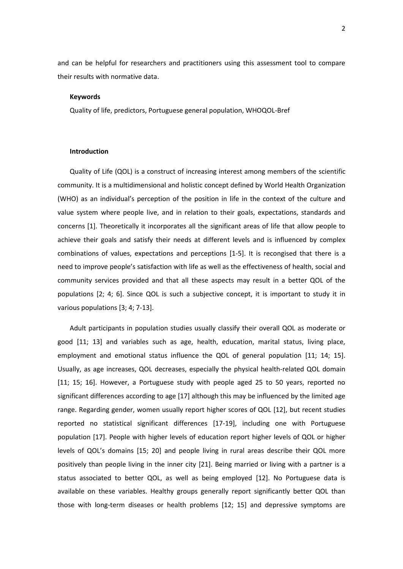and can be helpful for researchers and practitioners using this assessment tool to compare their results with normative data.

#### **Keywords**

Quality of life, predictors, Portuguese general population, WHOQOL-Bref

#### **Introduction**

Quality of Life (QOL) is a construct of increasing interest among members of the scientific community. It is a multidimensional and holistic concept defined by World Health Organization (WHO) as an individual's perception of the position in life in the context of the culture and value system where people live, and in relation to their goals, expectations, standards and concerns [\[1\]](#page-18-0). Theoretically it incorporates all the significant areas of life that allow people to achieve their goals and satisfy their needs at different levels and is influenced by complex combinations of values, expectations and perceptions [\[1-5\]](#page-18-0). It is recongised that there is a need to improve people's satisfaction with life as well as the effectiveness of health, social and community services provided and that all these aspects may result in a better QOL of the populations [\[2;](#page-18-1) [4;](#page-18-2) [6\]](#page-18-3). Since QOL is such a subjective concept, it is important to study it in various populations [\[3;](#page-18-4) [4;](#page-18-2) [7-13\]](#page-18-5).

Adult participants in population studies usually classify their overall QOL as moderate or good [\[11;](#page-18-6) [13\]](#page-18-7) and variables such as age, health, education, marital status, living place, employment and emotional status influence the QOL of general population [\[11;](#page-18-6) [14;](#page-18-8) [15\]](#page-18-9). Usually, as age increases, QOL decreases, especially the physical health-related QOL domain [\[11;](#page-18-6) [15;](#page-18-9) [16\]](#page-18-10). However, a Portuguese study with people aged 25 to 50 years, reported no significant differences according to age [\[17\]](#page-19-0) although this may be influenced by the limited age range. Regarding gender, women usually report higher scores of QOL [\[12\]](#page-18-11), but recent studies reported no statistical significant differences [\[17-19\]](#page-19-0), including one with Portuguese population [\[17\]](#page-19-0). People with higher levels of education report higher levels of QOL or higher levels of QOL's domains [\[15;](#page-18-9) [20\]](#page-19-1) and people living in rural areas describe their QOL more positively than people living in the inner city [\[21\]](#page-19-2). Being married or living with a partner is a status associated to better QOL, as well as being employed [\[12\]](#page-18-11). No Portuguese data is available on these variables. Healthy groups generally report significantly better QOL than those with long-term diseases or health problems [\[12;](#page-18-11) [15\]](#page-18-9) and depressive symptoms are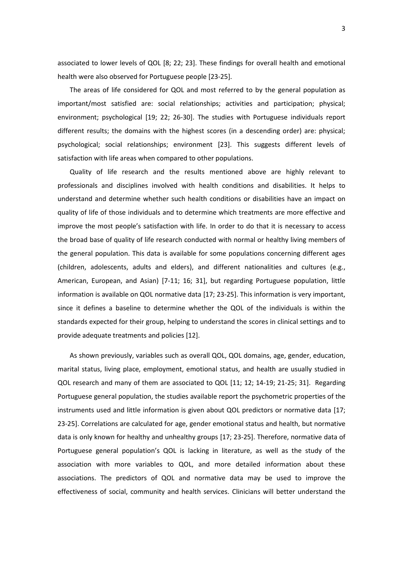associated to lower levels of QOL [\[8;](#page-18-12) [22;](#page-19-3) [23\]](#page-19-4). These findings for overall health and emotional health were also observed for Portuguese people [\[23-25\]](#page-19-4).

The areas of life considered for QOL and most referred to by the general population as important/most satisfied are: social relationships; activities and participation; physical; environment; psychological [\[19;](#page-19-5) [22;](#page-19-3) [26-30\]](#page-19-6). The studies with Portuguese individuals report different results; the domains with the highest scores (in a descending order) are: physical; psychological; social relationships; environment [\[23\]](#page-19-4). This suggests different levels of satisfaction with life areas when compared to other populations.

Quality of life research and the results mentioned above are highly relevant to professionals and disciplines involved with health conditions and disabilities. It helps to understand and determine whether such health conditions or disabilities have an impact on quality of life of those individuals and to determine which treatments are more effective and improve the most people's satisfaction with life. In order to do that it is necessary to access the broad base of quality of life research conducted with normal or healthy living members of the general population. This data is available for some populations concerning different ages (children, adolescents, adults and elders), and different nationalities and cultures (e.g., American, European, and Asian) [\[7-11;](#page-18-5) [16;](#page-18-10) [31\]](#page-19-7), but regarding Portuguese population, little information is available on QOL normative data [\[17;](#page-19-0) [23-25\]](#page-19-4). This information is very important, since it defines a baseline to determine whether the QOL of the individuals is within the standards expected for their group, helping to understand the scores in clinical settings and to provide adequate treatments and policies [\[12\]](#page-18-11).

As shown previously, variables such as overall QOL, QOL domains, age, gender, education, marital status, living place, employment, emotional status, and health are usually studied in QOL research and many of them are associated to QOL [\[11;](#page-18-6) [12;](#page-18-11) [14-19;](#page-18-8) [21-25;](#page-19-2) [31\]](#page-19-7). Regarding Portuguese general population, the studies available report the psychometric properties of the instruments used and little information is given about QOL predictors or normative data [\[17;](#page-19-0) [23-25\]](#page-19-4). Correlations are calculated for age, gender emotional status and health, but normative data is only known for healthy and unhealthy groups [\[17;](#page-19-0) [23-25\]](#page-19-4). Therefore, normative data of Portuguese general population's QOL is lacking in literature, as well as the study of the association with more variables to QOL, and more detailed information about these associations. The predictors of QOL and normative data may be used to improve the effectiveness of social, community and health services. Clinicians will better understand the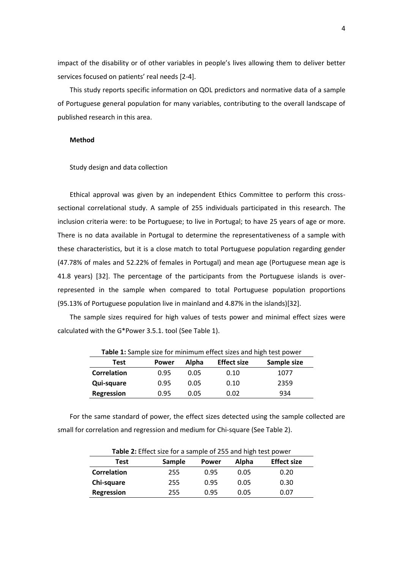impact of the disability or of other variables in people's lives allowing them to deliver better services focused on patients' real needs [\[2-4\]](#page-18-1).

This study reports specific information on QOL predictors and normative data of a sample of Portuguese general population for many variables, contributing to the overall landscape of published research in this area.

#### **Method**

#### Study design and data collection

Ethical approval was given by an independent Ethics Committee to perform this crosssectional correlational study. A sample of 255 individuals participated in this research. The inclusion criteria were: to be Portuguese; to live in Portugal; to have 25 years of age or more. There is no data available in Portugal to determine the representativeness of a sample with these characteristics, but it is a close match to total Portuguese population regarding gender (47.78% of males and 52.22% of females in Portugal) and mean age (Portuguese mean age is 41.8 years) [\[32\]](#page-19-8). The percentage of the participants from the Portuguese islands is overrepresented in the sample when compared to total Portuguese population proportions (95.13% of Portuguese population live in mainland and 4.87% in the islands)[\[32\]](#page-19-8).

The sample sizes required for high values of tests power and minimal effect sizes were calculated with the G\*Power 3.5.1. tool (See Table 1).

| <b>TWIC 1.</b> JUINTO SILE TOT INITIATIVE CHECK SILES UND HISTI LEST DOWER |              |       |                    |             |  |  |  |  |  |
|----------------------------------------------------------------------------|--------------|-------|--------------------|-------------|--|--|--|--|--|
| Test                                                                       | <b>Power</b> | Alpha | <b>Effect size</b> | Sample size |  |  |  |  |  |
| <b>Correlation</b>                                                         | 0.95         | 0.05  | 0.10               | 1077        |  |  |  |  |  |
| Qui-square                                                                 | 0.95         | 0.05  | 0.10               | 2359        |  |  |  |  |  |
| Regression                                                                 | 0.95         | 0.05  | 0.02               | 934         |  |  |  |  |  |

**Table 1:** Sample size for minimum effect sizes and high test nower

For the same standard of power, the effect sizes detected using the sample collected are small for correlation and regression and medium for Chi-square (See Table 2).

| Table 2: Effect size for a sample of 255 and high test power |        |              |       |                    |  |  |  |  |
|--------------------------------------------------------------|--------|--------------|-------|--------------------|--|--|--|--|
| <b>Test</b>                                                  | Sample | <b>Power</b> | Alpha | <b>Effect size</b> |  |  |  |  |
| Correlation                                                  | 255    | 0.95         | 0.05  | 0.20               |  |  |  |  |
| Chi-square                                                   | 255    | 0.95         | 0.05  | 0.30               |  |  |  |  |
| Regression                                                   | 255    | 0.95         | 0.05  | 0.07               |  |  |  |  |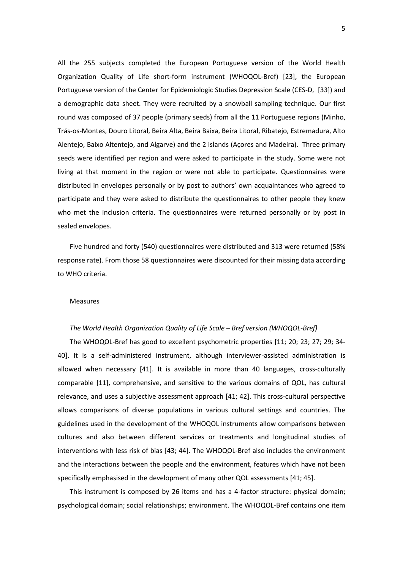All the 255 subjects completed the European Portuguese version of the World Health Organization Quality of Life short-form instrument (WHOQOL-Bref) [\[23\]](#page-19-4), the European Portuguese version of the Center for Epidemiologic Studies Depression Scale (CES-D, [\[33\]](#page-20-0)) and a demographic data sheet. They were recruited by a snowball sampling technique. Our first round was composed of 37 people (primary seeds) from all the 11 Portuguese regions (Minho, Trás-os-Montes, Douro Litoral, Beira Alta, Beira Baixa, Beira Litoral, Ribatejo, Estremadura, Alto Alentejo, Baixo Altentejo, and Algarve) and the 2 islands (Açores and Madeira). Three primary seeds were identified per region and were asked to participate in the study. Some were not living at that moment in the region or were not able to participate. Questionnaires were distributed in envelopes personally or by post to authors' own acquaintances who agreed to participate and they were asked to distribute the questionnaires to other people they knew who met the inclusion criteria. The questionnaires were returned personally or by post in sealed envelopes.

Five hundred and forty (540) questionnaires were distributed and 313 were returned (58% response rate). From those 58 questionnaires were discounted for their missing data according to WHO criteria.

#### Measures

#### *The World Health Organization Quality of Life Scale – Bref version (WHOQOL-Bref)*

The WHOQOL-Bref has good to excellent psychometric properties [\[11;](#page-18-6) [20;](#page-19-1) [23;](#page-19-4) [27;](#page-19-9) [29;](#page-19-10) [34-](#page-20-1) [40\]](#page-20-1). It is a self-administered instrument, although interviewer-assisted administration is allowed when necessary [\[41\]](#page-20-2). It is available in more than 40 languages, cross-culturally comparable [\[11\]](#page-18-6), comprehensive, and sensitive to the various domains of QOL, has cultural relevance, and uses a subjective assessment approach [\[41;](#page-20-2) [42\]](#page-20-3). This cross-cultural perspective allows comparisons of diverse populations in various cultural settings and countries. The guidelines used in the development of the WHOQOL instruments allow comparisons between cultures and also between different services or treatments and longitudinal studies of interventions with less risk of bias [\[43;](#page-20-4) [44\]](#page-20-5). The WHOQOL-Bref also includes the environment and the interactions between the people and the environment, features which have not been specifically emphasised in the development of many other QOL assessments [\[41;](#page-20-2) [45\]](#page-20-6).

This instrument is composed by 26 items and has a 4-factor structure: physical domain; psychological domain; social relationships; environment. The WHOQOL-Bref contains one item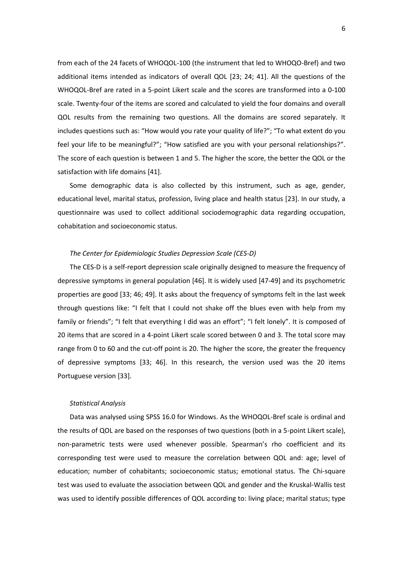from each of the 24 facets of WHOQOL-100 (the instrument that led to WHOQO-Bref) and two additional items intended as indicators of overall QOL [\[23;](#page-19-4) [24;](#page-19-11) [41\]](#page-20-2). All the questions of the WHOQOL-Bref are rated in a 5-point Likert scale and the scores are transformed into a 0-100 scale. Twenty-four of the items are scored and calculated to yield the four domains and overall QOL results from the remaining two questions. All the domains are scored separately. It includes questions such as: "How would you rate your quality of life?"; "To what extent do you feel your life to be meaningful?"; "How satisfied are you with your personal relationships?". The score of each question is between 1 and 5. The higher the score, the better the QOL or the satisfaction with life domains [\[41\]](#page-20-2).

Some demographic data is also collected by this instrument, such as age, gender, educational level, marital status, profession, living place and health status [\[23\]](#page-19-4). In our study, a questionnaire was used to collect additional sociodemographic data regarding occupation, cohabitation and socioeconomic status.

#### *The Center for Epidemiologic Studies Depression Scale (CES-D)*

The CES-D is a self-report depression scale originally designed to measure the frequency of depressive symptoms in general population [\[46\]](#page-20-7). It is widely used [\[47-49\]](#page-20-8) and its psychometric properties are good [\[33;](#page-20-0) [46;](#page-20-7) [49\]](#page-20-9). It asks about the frequency of symptoms felt in the last week through questions like: "I felt that I could not shake off the blues even with help from my family or friends"; "I felt that everything I did was an effort"; "I felt lonely". It is composed of 20 items that are scored in a 4-point Likert scale scored between 0 and 3. The total score may range from 0 to 60 and the cut-off point is 20. The higher the score, the greater the frequency of depressive symptoms [\[33;](#page-20-0) [46\]](#page-20-7). In this research, the version used was the 20 items Portuguese version [\[33\]](#page-20-0).

#### *Statistical Analysis*

Data was analysed using SPSS 16.0 for Windows. As the WHOQOL-Bref scale is ordinal and the results of QOL are based on the responses of two questions (both in a 5-point Likert scale), non-parametric tests were used whenever possible. Spearman's rho coefficient and its corresponding test were used to measure the correlation between QOL and: age; level of education; number of cohabitants; socioeconomic status; emotional status. The Chi-square test was used to evaluate the association between QOL and gender and the Kruskal-Wallis test was used to identify possible differences of QOL according to: living place; marital status; type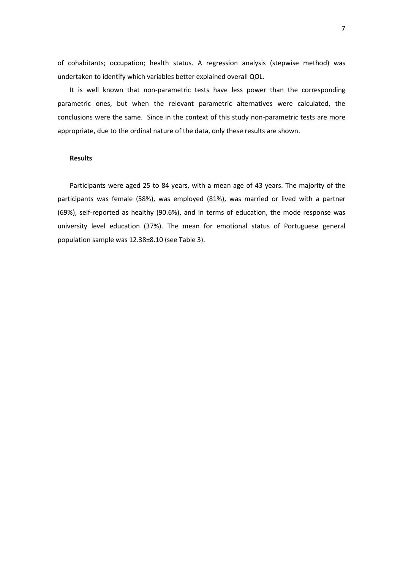of cohabitants; occupation; health status. A regression analysis (stepwise method) was undertaken to identify which variables better explained overall QOL.

It is well known that non-parametric tests have less power than the corresponding parametric ones, but when the relevant parametric alternatives were calculated, the conclusions were the same. Since in the context of this study non-parametric tests are more appropriate, due to the ordinal nature of the data, only these results are shown.

#### **Results**

Participants were aged 25 to 84 years, with a mean age of 43 years. The majority of the participants was female (58%), was employed (81%), was married or lived with a partner (69%), self-reported as healthy (90.6%), and in terms of education, the mode response was university level education (37%). The mean for emotional status of Portuguese general population sample was 12.38±8.10 (see Table 3).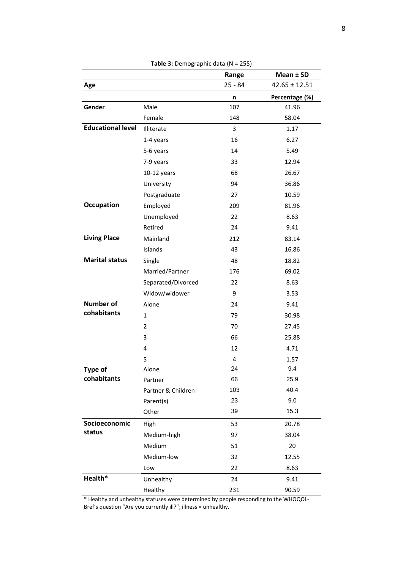|                          |                    | Range     | Mean ± SD         |
|--------------------------|--------------------|-----------|-------------------|
| Age                      |                    | $25 - 84$ | $42.65 \pm 12.51$ |
|                          |                    | n         | Percentage (%)    |
| Gender                   | Male               | 107       | 41.96             |
|                          | Female             | 148       | 58.04             |
| <b>Educational level</b> | Illiterate         | 3         | 1.17              |
|                          | 1-4 years          | 16        | 6.27              |
|                          | 5-6 years          | 14        | 5.49              |
|                          | 7-9 years          | 33        | 12.94             |
|                          | $10-12$ years      | 68        | 26.67             |
|                          | University         | 94        | 36.86             |
|                          | Postgraduate       | 27        | 10.59             |
| <b>Occupation</b>        | Employed           | 209       | 81.96             |
|                          | Unemployed         | 22        | 8.63              |
|                          | Retired            | 24        | 9.41              |
| <b>Living Place</b>      | Mainland           | 212       | 83.14             |
|                          | Islands            | 43        | 16.86             |
| <b>Marital status</b>    | Single             | 48        | 18.82             |
|                          | Married/Partner    | 176       | 69.02             |
|                          | Separated/Divorced | 22        | 8.63              |
|                          | Widow/widower      | 9         | 3.53              |
| <b>Number of</b>         | Alone              | 24        | 9.41              |
| cohabitants              | 1                  | 79        | 30.98             |
|                          | $\overline{2}$     | 70        | 27.45             |
|                          | 3                  | 66        | 25.88             |
|                          | 4                  | 12        | 4.71              |
|                          | 5                  | 4         | 1.57              |
| <b>Type of</b>           | Alone              | 24        | 9.4               |
| cohabitants              | Partner            | 66        | 25.9              |
|                          | Partner & Children | 103       | 40.4              |
|                          | Parent(s)          | 23        | 9.0               |
|                          | Other              | 39        | 15.3              |
| Socioeconomic            | High               | 53        | 20.78             |
| status                   | Medium-high        | 97        | 38.04             |
|                          | Medium             | 51        | 20                |
|                          | Medium-low         | 32        | 12.55             |
|                          | Low                | 22        | 8.63              |
| Health*                  | Unhealthy          | 24        | 9.41              |
|                          | Healthy            | 231       | 90.59             |

**Table 3:** Demographic data (N = 255)

\* Healthy and unhealthy statuses were determined by people responding to the WHOQOL-Bref's question "Are you currently ill?"; illness = unhealthy.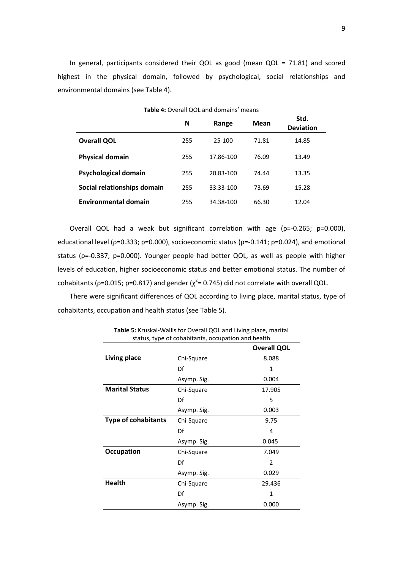In general, participants considered their QOL as good (mean QOL = 71.81) and scored highest in the physical domain, followed by psychological, social relationships and environmental domains (see Table 4).

| <b>Table 4: Overall QOL and domains' means</b> |     |           |       |                          |  |  |  |  |  |
|------------------------------------------------|-----|-----------|-------|--------------------------|--|--|--|--|--|
|                                                | N   | Range     | Mean  | Std.<br><b>Deviation</b> |  |  |  |  |  |
| <b>Overall QOL</b>                             | 255 | 25-100    | 71.81 | 14.85                    |  |  |  |  |  |
| <b>Physical domain</b>                         | 255 | 17.86-100 | 76.09 | 13.49                    |  |  |  |  |  |
| <b>Psychological domain</b>                    | 255 | 20.83-100 | 74.44 | 13.35                    |  |  |  |  |  |
| Social relationships domain                    | 255 | 33.33-100 | 73.69 | 15.28                    |  |  |  |  |  |
| <b>Environmental domain</b>                    | 255 | 34.38-100 | 66.30 | 12.04                    |  |  |  |  |  |

Overall QOL had a weak but significant correlation with age (ρ=-0.265; p=0.000), educational level (ρ=0.333; p=0.000), socioeconomic status (ρ=-0.141; p=0.024), and emotional status (ρ=-0.337; p=0.000). Younger people had better QOL, as well as people with higher levels of education, higher socioeconomic status and better emotional status. The number of cohabitants ( $p=0.015$ ;  $p=0.817$ ) and gender ( $\chi^2$ = 0.745) did not correlate with overall QOL.

There were significant differences of QOL according to living place, marital status, type of cohabitants, occupation and health status (see Table 5).

| status, type or conabitants, occupation and nearth |             |                    |  |  |  |
|----------------------------------------------------|-------------|--------------------|--|--|--|
|                                                    |             | <b>Overall QOL</b> |  |  |  |
| <b>Living place</b>                                | Chi-Square  | 8.088              |  |  |  |
|                                                    | Df          | $\mathbf{1}$       |  |  |  |
|                                                    | Asymp. Sig. | 0.004              |  |  |  |
| <b>Marital Status</b>                              | Chi-Square  | 17.905             |  |  |  |
|                                                    | Df          | 5                  |  |  |  |
|                                                    | Asymp. Sig. | 0.003              |  |  |  |
| <b>Type of cohabitants</b>                         | Chi-Square  | 9.75               |  |  |  |
|                                                    | Df          | 4                  |  |  |  |
|                                                    | Asymp. Sig. | 0.045              |  |  |  |
| <b>Occupation</b>                                  | Chi-Square  | 7.049              |  |  |  |
|                                                    | Df          | $\overline{2}$     |  |  |  |
|                                                    | Asymp. Sig. | 0.029              |  |  |  |
| <b>Health</b>                                      | Chi-Square  | 29.436             |  |  |  |
|                                                    | Df          | $\mathbf{1}$       |  |  |  |
|                                                    | Asymp. Sig. | 0.000              |  |  |  |

**Table 5:** Kruskal-Wallis for Overall QOL and Living place, marital status, type of cohabitants, occupation and health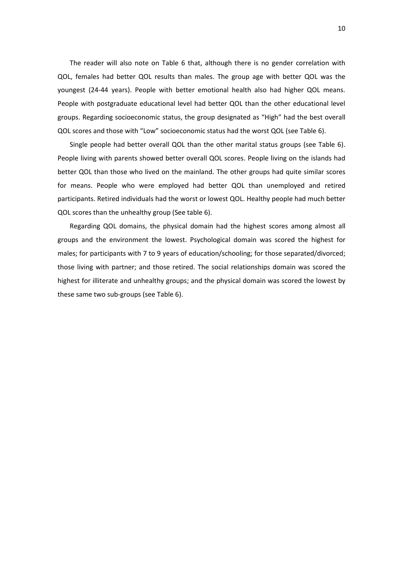The reader will also note on Table 6 that, although there is no gender correlation with QOL, females had better QOL results than males. The group age with better QOL was the youngest (24-44 years). People with better emotional health also had higher QOL means. People with postgraduate educational level had better QOL than the other educational level groups. Regarding socioeconomic status, the group designated as "High" had the best overall QOL scores and those with "Low" socioeconomic status had the worst QOL (see Table 6).

Single people had better overall QOL than the other marital status groups (see Table 6). People living with parents showed better overall QOL scores. People living on the islands had better QOL than those who lived on the mainland. The other groups had quite similar scores for means. People who were employed had better QOL than unemployed and retired participants. Retired individuals had the worst or lowest QOL. Healthy people had much better QOL scores than the unhealthy group (See table 6).

Regarding QOL domains, the physical domain had the highest scores among almost all groups and the environment the lowest. Psychological domain was scored the highest for males; for participants with 7 to 9 years of education/schooling; for those separated/divorced; those living with partner; and those retired. The social relationships domain was scored the highest for illiterate and unhealthy groups; and the physical domain was scored the lowest by these same two sub-groups (see Table 6).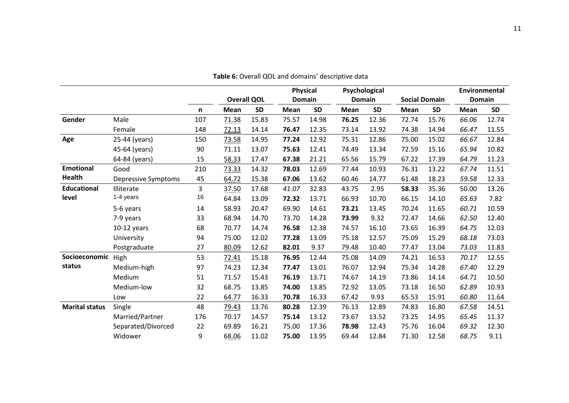|                       |                            |     |             |                    | <b>Physical</b> |               |       | Psychological |       |                      |       | Environmental |
|-----------------------|----------------------------|-----|-------------|--------------------|-----------------|---------------|-------|---------------|-------|----------------------|-------|---------------|
|                       |                            |     |             | <b>Overall QOL</b> |                 | <b>Domain</b> |       | <b>Domain</b> |       | <b>Social Domain</b> |       | <b>Domain</b> |
|                       |                            | n   | <b>Mean</b> | <b>SD</b>          | Mean            | <b>SD</b>     | Mean  | <b>SD</b>     | Mean  | <b>SD</b>            | Mean  | <b>SD</b>     |
| Gender                | Male                       | 107 | 71.38       | 15.83              | 75.57           | 14.98         | 76.25 | 12.36         | 72.74 | 15.76                | 66.06 | 12.74         |
|                       | Female                     | 148 | 72.13       | 14.14              | 76.47           | 12.35         | 73.14 | 13.92         | 74.38 | 14.94                | 66.47 | 11.55         |
| Age                   | 25-44 (years)              | 150 | 73.58       | 14.95              | 77.24           | 12.92         | 75.31 | 12.86         | 75.00 | 15.02                | 66.67 | 12.84         |
|                       | 45-64 (years)              | 90  | 71.11       | 13.07              | 75.63           | 12.41         | 74.49 | 13.34         | 72.59 | 15.16                | 65.94 | 10.82         |
|                       | 64-84 (years)              | 15  | 58.33       | 17.47              | 67.38           | 21.21         | 65.56 | 15.79         | 67.22 | 17.39                | 64.79 | 11.23         |
| <b>Emotional</b>      | Good                       | 210 | 73.33       | 14.32              | 78.03           | 12.69         | 77.44 | 10.93         | 76.31 | 13.22                | 67.74 | 11.51         |
| Health                | <b>Depressive Symptoms</b> | 45  | 64.72       | 15.38              | 67.06           | 13.62         | 60.46 | 14.77         | 61.48 | 18.23                | 59.58 | 12.33         |
| <b>Educational</b>    | Illiterate                 | 3   | 37.50       | 17.68              | 41.07           | 32.83         | 43.75 | 2.95          | 58.33 | 35.36                | 50.00 | 13.26         |
| level                 | 1-4 years                  | 16  | 64.84       | 13.09              | 72.32           | 13.71         | 66.93 | 10.70         | 66.15 | 14.10                | 65.63 | 7.82          |
|                       | 5-6 years                  | 14  | 58.93       | 20.47              | 69.90           | 14.61         | 73.21 | 13.45         | 70.24 | 11.65                | 60.71 | 10.59         |
|                       | 7-9 years                  | 33  | 68.94       | 14.70              | 73.70           | 14.28         | 73.99 | 9.32          | 72.47 | 14.66                | 62.50 | 12.40         |
|                       | $10-12$ years              | 68  | 70.77       | 14.74              | 76.58           | 12.38         | 74.57 | 16.10         | 73.65 | 16.39                | 64.75 | 12.03         |
|                       | University                 | 94  | 75.00       | 12.02              | 77.28           | 13.09         | 75.18 | 12.57         | 75.09 | 15.29                | 68.18 | 73.03         |
|                       | Postgraduate               | 27  | 80.09       | 12.62              | 82.01           | 9.37          | 79.48 | 10.40         | 77.47 | 13.04                | 73.03 | 11.83         |
| Socioeconomic         | High                       | 53  | 72.41       | 15.18              | 76.95           | 12.44         | 75.08 | 14.09         | 74.21 | 16.53                | 70.17 | 12.55         |
| status                | Medium-high                | 97  | 74.23       | 12.34              | 77.47           | 13.01         | 76.07 | 12.94         | 75.34 | 14.28                | 67.40 | 12.29         |
|                       | Medium                     | 51  | 71.57       | 15.43              | 76.19           | 13.71         | 74.67 | 14.19         | 73.86 | 14.14                | 64.71 | 10.50         |
|                       | Medium-low                 | 32  | 68.75       | 13.85              | 74.00           | 13.85         | 72.92 | 13.05         | 73.18 | 16.50                | 62.89 | 10.93         |
|                       | Low                        | 22  | 64.77       | 16.33              | 70.78           | 16.33         | 67.42 | 9.93          | 65.53 | 15.91                | 60.80 | 11.64         |
| <b>Marital status</b> | Single                     | 48  | 79.43       | 13.76              | 80.28           | 12.39         | 76.13 | 12.89         | 74.83 | 16.80                | 67.58 | 14.51         |
|                       | Married/Partner            | 176 | 70.17       | 14.57              | 75.14           | 13.12         | 73.67 | 13.52         | 73.25 | 14.95                | 65.45 | 11.37         |
|                       | Separated/Divorced         | 22  | 69.89       | 16.21              | 75.00           | 17.36         | 78.98 | 12.43         | 75.76 | 16.04                | 69.32 | 12.30         |
|                       | Widower                    | 9   | 68.06       | 11.02              | 75.00           | 13.95         | 69.44 | 12.84         | 71.30 | 12.58                | 68.75 | 9.11          |

**Table 6:** Overall QOL and domains' descriptive data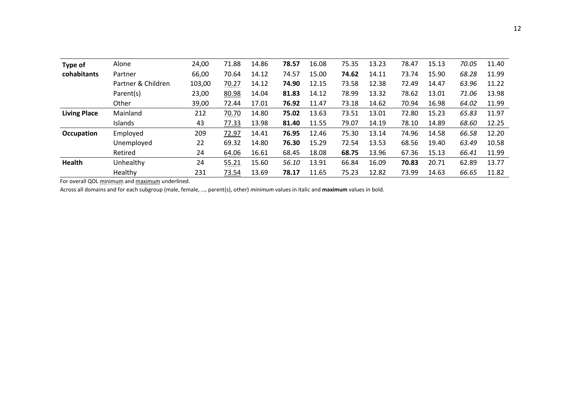| Type of             | Alone              | 24,00  | 71.88 | 14.86 | 78.57 | 16.08 | 75.35 | 13.23 | 78.47 | 15.13 | 70.05 | 11.40 |
|---------------------|--------------------|--------|-------|-------|-------|-------|-------|-------|-------|-------|-------|-------|
| cohabitants         | Partner            | 66,00  | 70.64 | 14.12 | 74.57 | 15.00 | 74.62 | 14.11 | 73.74 | 15.90 | 68.28 | 11.99 |
|                     | Partner & Children | 103,00 | 70.27 | 14.12 | 74.90 | 12.15 | 73.58 | 12.38 | 72.49 | 14.47 | 63.96 | 11.22 |
|                     | Parent(s)          | 23,00  | 80.98 | 14.04 | 81.83 | 14.12 | 78.99 | 13.32 | 78.62 | 13.01 | 71.06 | 13.98 |
|                     | Other              | 39,00  | 72.44 | 17.01 | 76.92 | 11.47 | 73.18 | 14.62 | 70.94 | 16.98 | 64.02 | 11.99 |
| <b>Living Place</b> | Mainland           | 212    | 70.70 | 14.80 | 75.02 | 13.63 | 73.51 | 13.01 | 72.80 | 15.23 | 65.83 | 11.97 |
|                     | <b>Islands</b>     | 43     | 77.33 | 13.98 | 81.40 | 11.55 | 79.07 | 14.19 | 78.10 | 14.89 | 68.60 | 12.25 |
| Occupation          | Employed           | 209    | 72.97 | 14.41 | 76.95 | 12.46 | 75.30 | 13.14 | 74.96 | 14.58 | 66.58 | 12.20 |
|                     | Unemployed         | 22     | 69.32 | 14.80 | 76.30 | 15.29 | 72.54 | 13.53 | 68.56 | 19.40 | 63.49 | 10.58 |
|                     | Retired            | 24     | 64.06 | 16.61 | 68.45 | 18.08 | 68.75 | 13.96 | 67.36 | 15.13 | 66.41 | 11.99 |
| Health              | Unhealthy          | 24     | 55.21 | 15.60 | 56.10 | 13.91 | 66.84 | 16.09 | 70.83 | 20.71 | 62.89 | 13.77 |
|                     | Healthy            | 231    | 73.54 | 13.69 | 78.17 | 11.65 | 75.23 | 12.82 | 73.99 | 14.63 | 66.65 | 11.82 |

For overall QOL minimum and maximum underlined.

Across all domains and for each subgroup (male, female, …, parent(s), other) *minimum* values in italic and **maximum** values in bold.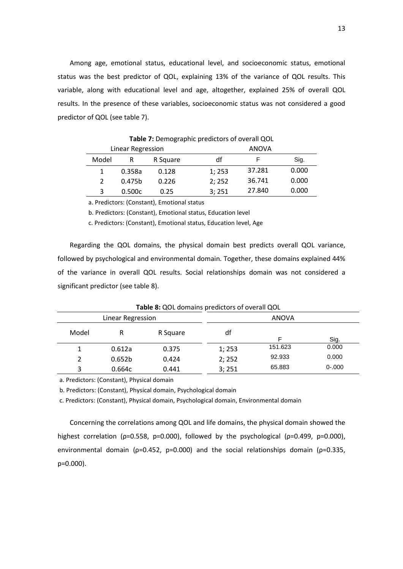Among age, emotional status, educational level, and socioeconomic status, emotional status was the best predictor of QOL, explaining 13% of the variance of QOL results. This variable, along with educational level and age, altogether, explained 25% of overall QOL results. In the presence of these variables, socioeconomic status was not considered a good predictor of QOL (see table 7).

|       | Linear Regression  |          |       | ANOVA  |       |  |  |  |
|-------|--------------------|----------|-------|--------|-------|--|--|--|
| Model | R                  | R Square | df    | F      | Sig.  |  |  |  |
|       | 0.358a             | 0.128    | 1;253 | 37.281 | 0.000 |  |  |  |
|       | 0.475 <sub>b</sub> | 0.226    | 2;252 | 36.741 | 0.000 |  |  |  |
| 3     | 0.500c             | 0.25     | 3;251 | 27.840 | 0.000 |  |  |  |

**Table 7:** Demographic predictors of overall QOL

a. Predictors: (Constant), Emotional status

b. Predictors: (Constant), Emotional status, Education level

c. Predictors: (Constant), Emotional status, Education level, Age

Regarding the QOL domains, the physical domain best predicts overall QOL variance, followed by psychological and environmental domain. Together, these domains explained 44% of the variance in overall QOL results. Social relationships domain was not considered a significant predictor (see table 8).

| <b>Table 8:</b> QUL domains predictors of overall QUL |                    |          |        |              |           |  |  |  |  |
|-------------------------------------------------------|--------------------|----------|--------|--------------|-----------|--|--|--|--|
|                                                       | Linear Regression  |          |        | <b>ANOVA</b> |           |  |  |  |  |
| Model                                                 | R                  | R Square | df     |              | Sig.      |  |  |  |  |
|                                                       | 0.612a             | 0.375    | 1;253  | 151.623      | 0.000     |  |  |  |  |
|                                                       | 0.652 <sub>b</sub> | 0.424    | 2; 252 | 92.933       | 0.000     |  |  |  |  |
| 3                                                     | 0.664c             | 0.441    | 3;251  | 65.883       | $0 - 000$ |  |  |  |  |

**Table 8:** QOL domains predictors of overall QOL

a. Predictors: (Constant), Physical domain

b. Predictors: (Constant), Physical domain, Psychological domain

c. Predictors: (Constant), Physical domain, Psychological domain, Environmental domain

Concerning the correlations among QOL and life domains, the physical domain showed the highest correlation ( $p=0.558$ ,  $p=0.000$ ), followed by the psychological ( $p=0.499$ ,  $p=0.000$ ), environmental domain ( $p=0.452$ ,  $p=0.000$ ) and the social relationships domain ( $p=0.335$ , p=0.000).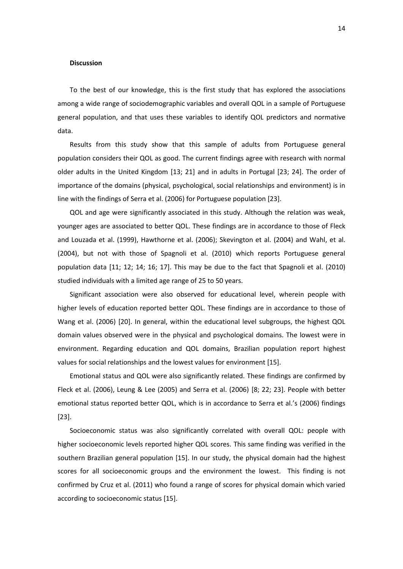#### **Discussion**

To the best of our knowledge, this is the first study that has explored the associations among a wide range of sociodemographic variables and overall QOL in a sample of Portuguese general population, and that uses these variables to identify QOL predictors and normative data.

Results from this study show that this sample of adults from Portuguese general population considers their QOL as good. The current findings agree with research with normal older adults in the United Kingdom [\[13;](#page-18-7) [21\]](#page-19-2) and in adults in Portugal [\[23;](#page-19-4) [24\]](#page-19-11). The order of importance of the domains (physical, psychological, social relationships and environment) is in line with the findings of Serra et al. (2006) for Portuguese population [\[23\]](#page-19-4).

QOL and age were significantly associated in this study. Although the relation was weak, younger ages are associated to better QOL. These findings are in accordance to those of Fleck and Louzada et al. (1999), Hawthorne et al. (2006); Skevington et al. (2004) and [Wahl, et al.](#page-20-3)  [\(2004\)](#page-20-3), but not with those of Spagnoli et al. (2010) which reports Portuguese general population data [\[11;](#page-18-6) [12;](#page-18-11) [14;](#page-18-8) [16;](#page-18-10) [17\]](#page-19-0). This may be due to the fact that Spagnoli et al. (2010) studied individuals with a limited age range of 25 to 50 years.

Significant association were also observed for educational level, wherein people with higher levels of education reported better QOL. These findings are in accordance to those of Wang et al. (2006) [\[20\]](#page-19-1). In general, within the educational level subgroups, the highest QOL domain values observed were in the physical and psychological domains. The lowest were in environment. Regarding education and QOL domains, Brazilian population report highest values for social relationships and the lowest values for environment [\[15\]](#page-18-9).

Emotional status and QOL were also significantly related. These findings are confirmed by Fleck et al. (2006), Leung & Lee (2005) and Serra et al. (2006) [\[8;](#page-18-12) [22;](#page-19-3) [23\]](#page-19-4). People with better emotional status reported better QOL, which is in accordance to Serra et al.'s (2006) findings [\[23\]](#page-19-4).

Socioeconomic status was also significantly correlated with overall QOL: people with higher socioeconomic levels reported higher QOL scores. This same finding was verified in the southern Brazilian general population [\[15\]](#page-18-9). In our study, the physical domain had the highest scores for all socioeconomic groups and the environment the lowest. This finding is not confirmed by Cruz et al. (2011) who found a range of scores for physical domain which varied according to socioeconomic status [\[15\]](#page-18-9).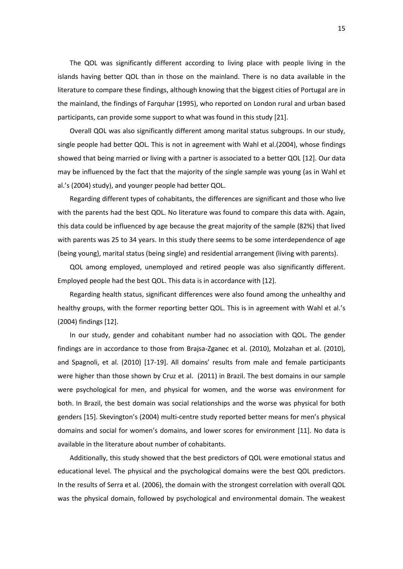The QOL was significantly different according to living place with people living in the islands having better QOL than in those on the mainland. There is no data available in the literature to compare these findings, although knowing that the biggest cities of Portugal are in the mainland, the findings of Farquhar (1995), who reported on London rural and urban based participants, can provide some support to what was found in this study [\[21\]](#page-19-2).

Overall QOL was also significantly different among marital status subgroups. In our study, single people had better QOL. This is not in agreement with Wahl et al.(2004), whose findings showed that being married or living with a partner is associated to a better QOL [\[12\]](#page-18-11). Our data may be influenced by the fact that the majority of the single sample was young (as in Wahl et al.'s (2004) study), and younger people had better QOL.

Regarding different types of cohabitants, the differences are significant and those who live with the parents had the best QOL. No literature was found to compare this data with. Again, this data could be influenced by age because the great majority of the sample (82%) that lived with parents was 25 to 34 years. In this study there seems to be some interdependence of age (being young), marital status (being single) and residential arrangement (living with parents).

QOL among employed, unemployed and retired people was also significantly different. Employed people had the best QOL. This data is in accordance with [\[12\]](#page-18-11).

Regarding health status, significant differences were also found among the unhealthy and healthy groups, with the former reporting better QOL. This is in agreement with Wahl et al.'s (2004) findings [\[12\]](#page-18-11).

In our study, gender and cohabitant number had no association with QOL. The gender findings are in accordance to those from Brajsa-Zganec et al. (2010), Molzahan et al. (2010), and Spagnoli, et al. (2010) [\[17-19\]](#page-19-0). All domains' results from male and female participants were higher than those shown by Cruz et al. (2011) in Brazil. The best domains in our sample were psychological for men, and physical for women, and the worse was environment for both. In Brazil, the best domain was social relationships and the worse was physical for both genders [\[15\]](#page-18-9). Skevington's (2004) multi-centre study reported better means for men's physical domains and social for women's domains, and lower scores for environment [\[11\]](#page-18-6). No data is available in the literature about number of cohabitants.

Additionally, this study showed that the best predictors of QOL were emotional status and educational level. The physical and the psychological domains were the best QOL predictors. In the results of Serra et al. (2006), the domain with the strongest correlation with overall QOL was the physical domain, followed by psychological and environmental domain. The weakest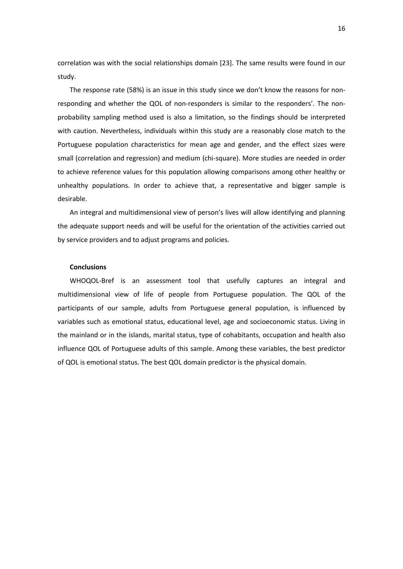correlation was with the social relationships domain [\[23\]](#page-19-4). The same results were found in our study.

The response rate (58%) is an issue in this study since we don't know the reasons for nonresponding and whether the QOL of non-responders is similar to the responders'. The nonprobability sampling method used is also a limitation, so the findings should be interpreted with caution. Nevertheless, individuals within this study are a reasonably close match to the Portuguese population characteristics for mean age and gender, and the effect sizes were small (correlation and regression) and medium (chi-square). More studies are needed in order to achieve reference values for this population allowing comparisons among other healthy or unhealthy populations. In order to achieve that, a representative and bigger sample is desirable.

An integral and multidimensional view of person's lives will allow identifying and planning the adequate support needs and will be useful for the orientation of the activities carried out by service providers and to adjust programs and policies.

#### **Conclusions**

WHOQOL-Bref is an assessment tool that usefully captures an integral and multidimensional view of life of people from Portuguese population. The QOL of the participants of our sample, adults from Portuguese general population, is influenced by variables such as emotional status, educational level, age and socioeconomic status. Living in the mainland or in the islands, marital status, type of cohabitants, occupation and health also influence QOL of Portuguese adults of this sample. Among these variables, the best predictor of QOL is emotional status. The best QOL domain predictor is the physical domain.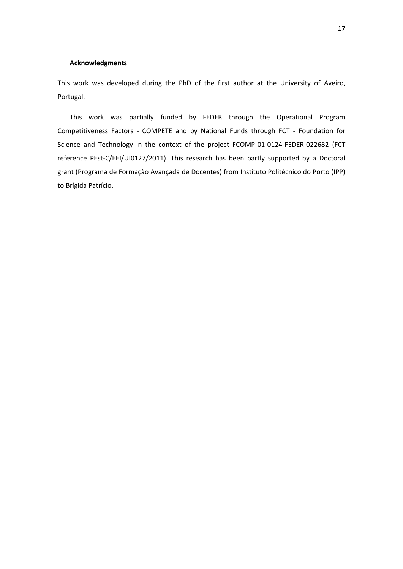#### **Acknowledgments**

This work was developed during the PhD of the first author at the University of Aveiro, Portugal.

This work was partially funded by FEDER through the Operational Program Competitiveness Factors - COMPETE and by National Funds through FCT - Foundation for Science and Technology in the context of the project FCOMP-01-0124-FEDER-022682 (FCT reference PEst-C/EEI/UI0127/2011). This research has been partly supported by a Doctoral grant (Programa de Formação Avançada de Docentes) from Instituto Politécnico do Porto (IPP) to Brígida Patrício.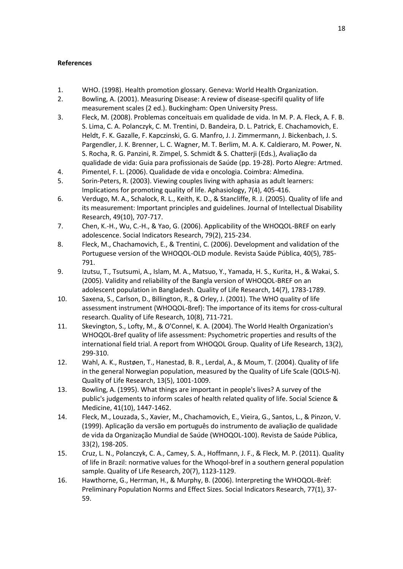#### **References**

- <span id="page-18-0"></span>1. WHO. (1998). Health promotion glossary. Geneva: World Health Organization.
- <span id="page-18-1"></span>2. Bowling, A. (2001). Measuring Disease: A review of disease-specifil quality of life measurement scales (2 ed.). Buckingham: Open University Press.
- <span id="page-18-4"></span>3. Fleck, M. (2008). Problemas conceituais em qualidade de vida. In M. P. A. Fleck, A. F. B. S. Lima, C. A. Polanczyk, C. M. Trentini, D. Bandeira, D. L. Patrick, E. Chachamovich, E. Heldt, F. K. Gazalle, F. Kapczinski, G. G. Manfro, J. J. Zimmermann, J. Bickenbach, J. S. Pargendler, J. K. Brenner, L. C. Wagner, M. T. Berlim, M. A. K. Caldieraro, M. Power, N. S. Rocha, R. G. Panzini, R. Zimpel, S. Schmidt & S. Chatterji (Eds.), Avaliação da qualidade de vida: Guia para profissionais de Saúde (pp. 19-28). Porto Alegre: Artmed.
- <span id="page-18-2"></span>4. Pimentel, F. L. (2006). Qualidade de vida e oncologia. Coimbra: Almedina.
- 5. Sorin-Peters, R. (2003). Viewing couples living with aphasia as adult learners: Implications for promoting quality of life. Aphasiology, 7(4), 405-416.
- <span id="page-18-3"></span>6. Verdugo, M. A., Schalock, R. L., Keith, K. D., & Stancliffe, R. J. (2005). Quality of life and its measurement: Important principles and guidelines. Journal of Intellectual Disability Research, 49(10), 707-717.
- <span id="page-18-5"></span>7. Chen, K.-H., Wu, C.-H., & Yao, G. (2006). Applicability of the WHOQOL-BREF on early adolescence. Social Indicators Research, 79(2), 215-234.
- <span id="page-18-12"></span>8. Fleck, M., Chachamovich, E., & Trentini, C. (2006). Development and validation of the Portuguese version of the WHOQOL-OLD module. Revista Saúde Pública, 40(5), 785- 791.
- 9. Izutsu, T., Tsutsumi, A., Islam, M. A., Matsuo, Y., Yamada, H. S., Kurita, H., & Wakai, S. (2005). Validity and reliability of the Bangla version of WHOQOL-BREF on an adolescent population in Bangladesh. Quality of Life Research, 14(7), 1783-1789.
- 10. Saxena, S., Carlson, D., Billington, R., & Orley, J. (2001). The WHO quality of life assessment instrument (WHOQOL-Bref): The importance of its items for cross-cultural research. Quality of Life Research, 10(8), 711-721.
- <span id="page-18-6"></span>11. Skevington, S., Lofty, M., & O'Connel, K. A. (2004). The World Health Organization's WHOQOL-Bref quality of life assessment: Psychometric properties and results of the international field trial. A report from WHOQOL Group. Quality of Life Research, 13(2), 299-310.
- <span id="page-18-11"></span>12. Wahl, A. K., Rustøen, T., Hanestad, B. R., Lerdal, A., & Moum, T. (2004). Quality of life in the general Norwegian population, measured by the Quality of Life Scale (QOLS-N). Quality of Life Research, 13(5), 1001-1009.
- <span id="page-18-7"></span>13. Bowling, A. (1995). What things are important in people's lives? A survey of the public's judgements to inform scales of health related quality of life. Social Science & Medicine, 41(10), 1447-1462.
- <span id="page-18-8"></span>14. Fleck, M., Louzada, S., Xavier, M., Chachamovich, E., Vieira, G., Santos, L., & Pinzon, V. (1999). Aplicação da versão em português do instrumento de avaliação de qualidade de vida da Organização Mundial de Saúde (WHOQOL-100). Revista de Saúde Pública, 33(2), 198-205.
- <span id="page-18-9"></span>15. Cruz, L. N., Polanczyk, C. A., Camey, S. A., Hoffmann, J. F., & Fleck, M. P. (2011). Quality of life in Brazil: normative values for the Whoqol-bref in a southern general population sample. Quality of Life Research, 20(7), 1123-1129.
- <span id="page-18-10"></span>16. Hawthorne, G., Herrman, H., & Murphy, B. (2006). Interpreting the WHOQOL-Brèf: Preliminary Population Norms and Effect Sizes. Social Indicators Research, 77(1), 37- 59.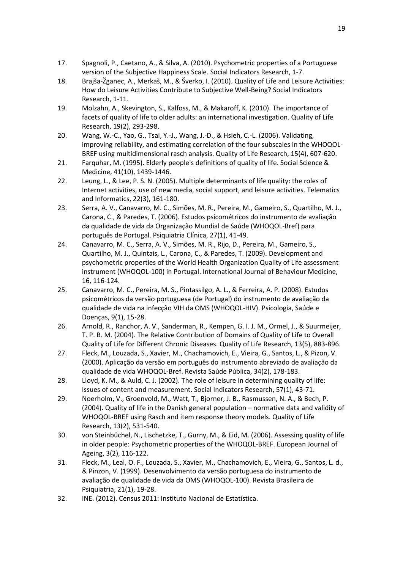- <span id="page-19-0"></span>17. Spagnoli, P., Caetano, A., & Silva, A. (2010). Psychometric properties of a Portuguese version of the Subjective Happiness Scale. Social Indicators Research, 1-7.
- 18. Brajša-Žganec, A., Merkaš, M., & Šverko, I. (2010). Quality of Life and Leisure Activities: How do Leisure Activities Contribute to Subjective Well-Being? Social Indicators Research, 1-11.
- <span id="page-19-5"></span>19. Molzahn, A., Skevington, S., Kalfoss, M., & Makaroff, K. (2010). The importance of facets of quality of life to older adults: an international investigation. Quality of Life Research, 19(2), 293-298.
- <span id="page-19-1"></span>20. Wang, W.-C., Yao, G., Tsai, Y.-J., Wang, J.-D., & Hsieh, C.-L. (2006). Validating, improving reliability, and estimating correlation of the four subscales in the WHOQOL-BREF using multidimensional rasch analysis. Quality of Life Research, 15(4), 607-620.
- <span id="page-19-2"></span>21. Farquhar, M. (1995). Elderly people's definitions of quality of life. Social Science & Medicine, 41(10), 1439-1446.
- <span id="page-19-3"></span>22. Leung, L., & Lee, P. S. N. (2005). Multiple determinants of life quality: the roles of Internet activities, use of new media, social support, and leisure activities. Telematics and Informatics, 22(3), 161-180.
- <span id="page-19-4"></span>23. Serra, A. V., Canavarro, M. C., Simões, M. R., Pereira, M., Gameiro, S., Quartilho, M. J., Carona, C., & Paredes, T. (2006). Estudos psicométricos do instrumento de avaliação da qualidade de vida da Organização Mundial de Saúde (WHOQOL-Bref) para português de Portugal. Psiquiatria Clínica, 27(1), 41-49.
- <span id="page-19-11"></span>24. Canavarro, M. C., Serra, A. V., Simões, M. R., Rijo, D., Pereira, M., Gameiro, S., Quartilho, M. J., Quintais, L., Carona, C., & Paredes, T. (2009). Development and psychometric properties of the World Health Organization Quality of Life assessment instrument (WHOQOL-100) in Portugal. International Journal of Behaviour Medicine, 16, 116-124.
- 25. Canavarro, M. C., Pereira, M. S., Pintassilgo, A. L., & Ferreira, A. P. (2008). Estudos psicométricos da versão portuguesa (de Portugal) do instrumento de avaliação da qualidade de vida na infecção VIH da OMS (WHOQOL-HIV). Psicologia, Saúde e Doenças, 9(1), 15-28.
- <span id="page-19-6"></span>26. Arnold, R., Ranchor, A. V., Sanderman, R., Kempen, G. I. J. M., Ormel, J., & Suurmeijer, T. P. B. M. (2004). The Relative Contribution of Domains of Quality of Life to Overall Quality of Life for Different Chronic Diseases. Quality of Life Research, 13(5), 883-896.
- <span id="page-19-9"></span>27. Fleck, M., Louzada, S., Xavier, M., Chachamovich, E., Vieira, G., Santos, L., & Pizon, V. (2000). Aplicação da versão em português do instrumento abreviado de avaliação da qualidade de vida WHOQOL-Bref. Revista Saúde Pública, 34(2), 178-183.
- 28. Lloyd, K. M., & Auld, C. J. (2002). The role of leisure in determining quality of life: Issues of content and measurement. Social Indicators Research, 57(1), 43-71.
- <span id="page-19-10"></span>29. Noerholm, V., Groenvold, M., Watt, T., Bjorner, J. B., Rasmussen, N. A., & Bech, P. (2004). Quality of life in the Danish general population – normative data and validity of WHOQOL-BREF using Rasch and item response theory models. Quality of Life Research, 13(2), 531-540.
- 30. von Steinbüchel, N., Lischetzke, T., Gurny, M., & Eid, M. (2006). Assessing quality of life in older people: Psychometric properties of the WHOQOL-BREF. European Journal of Ageing, 3(2), 116-122.
- <span id="page-19-7"></span>31. Fleck, M., Leal, O. F., Louzada, S., Xavier, M., Chachamovich, E., Vieira, G., Santos, L. d., & Pinzon, V. (1999). Desenvolvimento da versão portuguesa do instrumento de avaliação de qualidade de vida da OMS (WHOQOL-100). Revista Brasileira de Psiquiatria, 21(1), 19-28.
- <span id="page-19-8"></span>32. INE. (2012). Census 2011: Instituto Nacional de Estatística.